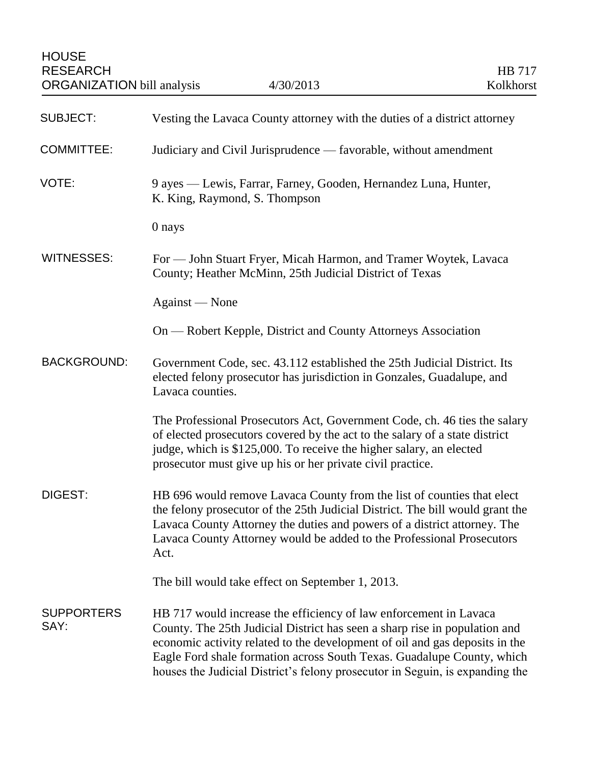| <b>SUBJECT:</b>           | Vesting the Lavaca County attorney with the duties of a district attorney                                                                                                                                                                                                                                                                                                                |
|---------------------------|------------------------------------------------------------------------------------------------------------------------------------------------------------------------------------------------------------------------------------------------------------------------------------------------------------------------------------------------------------------------------------------|
| <b>COMMITTEE:</b>         | Judiciary and Civil Jurisprudence - favorable, without amendment                                                                                                                                                                                                                                                                                                                         |
| VOTE:                     | 9 ayes — Lewis, Farrar, Farney, Gooden, Hernandez Luna, Hunter,<br>K. King, Raymond, S. Thompson                                                                                                                                                                                                                                                                                         |
|                           | 0 nays                                                                                                                                                                                                                                                                                                                                                                                   |
| <b>WITNESSES:</b>         | For — John Stuart Fryer, Micah Harmon, and Tramer Woytek, Lavaca<br>County; Heather McMinn, 25th Judicial District of Texas                                                                                                                                                                                                                                                              |
|                           | Against — None                                                                                                                                                                                                                                                                                                                                                                           |
|                           | On — Robert Kepple, District and County Attorneys Association                                                                                                                                                                                                                                                                                                                            |
| <b>BACKGROUND:</b>        | Government Code, sec. 43.112 established the 25th Judicial District. Its<br>elected felony prosecutor has jurisdiction in Gonzales, Guadalupe, and<br>Lavaca counties.                                                                                                                                                                                                                   |
|                           | The Professional Prosecutors Act, Government Code, ch. 46 ties the salary<br>of elected prosecutors covered by the act to the salary of a state district<br>judge, which is \$125,000. To receive the higher salary, an elected<br>prosecutor must give up his or her private civil practice.                                                                                            |
| <b>DIGEST:</b>            | HB 696 would remove Lavaca County from the list of counties that elect<br>the felony prosecutor of the 25th Judicial District. The bill would grant the<br>Lavaca County Attorney the duties and powers of a district attorney. The<br>Lavaca County Attorney would be added to the Professional Prosecutors<br>Act.                                                                     |
|                           | The bill would take effect on September 1, 2013.                                                                                                                                                                                                                                                                                                                                         |
| <b>SUPPORTERS</b><br>SAY: | HB 717 would increase the efficiency of law enforcement in Lavaca<br>County. The 25th Judicial District has seen a sharp rise in population and<br>economic activity related to the development of oil and gas deposits in the<br>Eagle Ford shale formation across South Texas. Guadalupe County, which<br>houses the Judicial District's felony prosecutor in Seguin, is expanding the |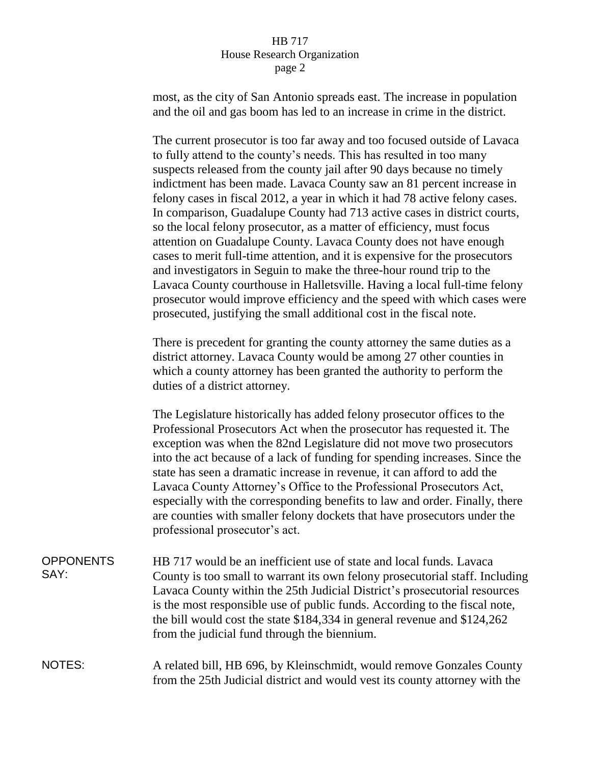## HB 717 House Research Organization page 2

most, as the city of San Antonio spreads east. The increase in population and the oil and gas boom has led to an increase in crime in the district.

The current prosecutor is too far away and too focused outside of Lavaca to fully attend to the county's needs. This has resulted in too many suspects released from the county jail after 90 days because no timely indictment has been made. Lavaca County saw an 81 percent increase in felony cases in fiscal 2012, a year in which it had 78 active felony cases. In comparison, Guadalupe County had 713 active cases in district courts, so the local felony prosecutor, as a matter of efficiency, must focus attention on Guadalupe County. Lavaca County does not have enough cases to merit full-time attention, and it is expensive for the prosecutors and investigators in Seguin to make the three-hour round trip to the Lavaca County courthouse in Halletsville. Having a local full-time felony prosecutor would improve efficiency and the speed with which cases were prosecuted, justifying the small additional cost in the fiscal note.

There is precedent for granting the county attorney the same duties as a district attorney. Lavaca County would be among 27 other counties in which a county attorney has been granted the authority to perform the duties of a district attorney.

The Legislature historically has added felony prosecutor offices to the Professional Prosecutors Act when the prosecutor has requested it. The exception was when the 82nd Legislature did not move two prosecutors into the act because of a lack of funding for spending increases. Since the state has seen a dramatic increase in revenue, it can afford to add the Lavaca County Attorney's Office to the Professional Prosecutors Act, especially with the corresponding benefits to law and order. Finally, there are counties with smaller felony dockets that have prosecutors under the professional prosecutor's act.

**OPPONENTS** SAY: HB 717 would be an inefficient use of state and local funds. Lavaca County is too small to warrant its own felony prosecutorial staff. Including Lavaca County within the 25th Judicial District's prosecutorial resources is the most responsible use of public funds. According to the fiscal note, the bill would cost the state \$184,334 in general revenue and \$124,262 from the judicial fund through the biennium.

## NOTES: A related bill, HB 696, by Kleinschmidt, would remove Gonzales County from the 25th Judicial district and would vest its county attorney with the